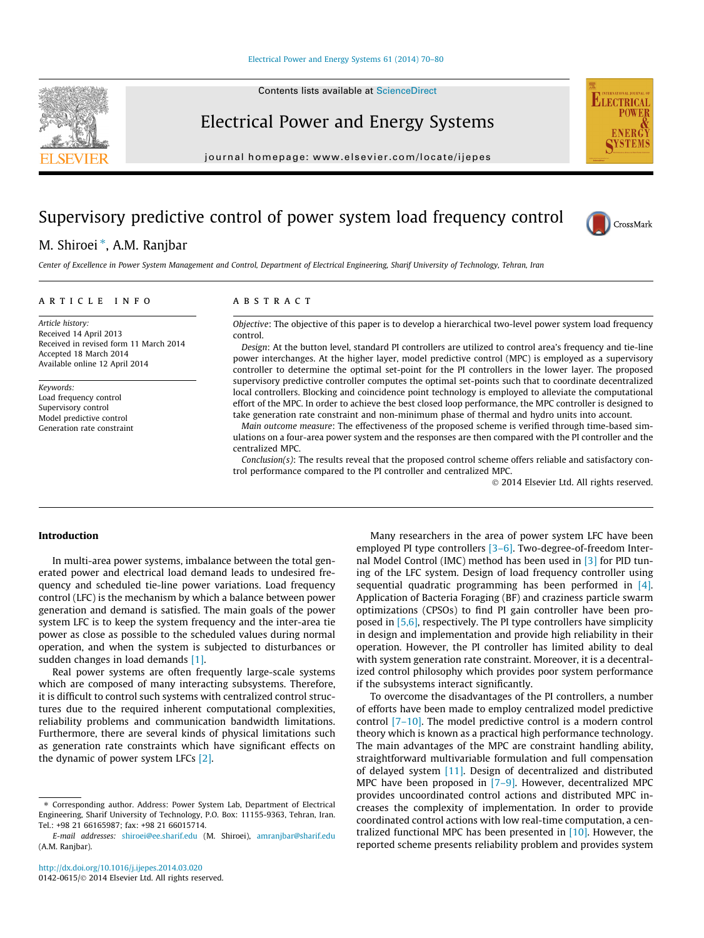Contents lists available at [ScienceDirect](http://www.sciencedirect.com/science/journal/01420615)

## Electrical Power and Energy Systems

journal homepage: [www.elsevier.com/locate/ijepes](http://www.elsevier.com/locate/ijepes)

# Supervisory predictive control of power system load frequency control

### M. Shiroei \*, A.M. Ranjbar

Center of Excellence in Power System Management and Control, Department of Electrical Engineering, Sharif University of Technology, Tehran, Iran

#### article info

Article history: Received 14 April 2013 Received in revised form 11 March 2014 Accepted 18 March 2014 Available online 12 April 2014

Keywords: Load frequency control Supervisory control Model predictive control Generation rate constraint

#### **ABSTRACT**

Objective: The objective of this paper is to develop a hierarchical two-level power system load frequency control.

Design: At the button level, standard PI controllers are utilized to control area's frequency and tie-line power interchanges. At the higher layer, model predictive control (MPC) is employed as a supervisory controller to determine the optimal set-point for the PI controllers in the lower layer. The proposed supervisory predictive controller computes the optimal set-points such that to coordinate decentralized local controllers. Blocking and coincidence point technology is employed to alleviate the computational effort of the MPC. In order to achieve the best closed loop performance, the MPC controller is designed to take generation rate constraint and non-minimum phase of thermal and hydro units into account.

Main outcome measure: The effectiveness of the proposed scheme is verified through time-based simulations on a four-area power system and the responses are then compared with the PI controller and the centralized MPC.

Conclusion(s): The results reveal that the proposed control scheme offers reliable and satisfactory control performance compared to the PI controller and centralized MPC.

- 2014 Elsevier Ltd. All rights reserved.

#### Introduction

In multi-area power systems, imbalance between the total generated power and electrical load demand leads to undesired frequency and scheduled tie-line power variations. Load frequency control (LFC) is the mechanism by which a balance between power generation and demand is satisfied. The main goals of the power system LFC is to keep the system frequency and the inter-area tie power as close as possible to the scheduled values during normal operation, and when the system is subjected to disturbances or sudden changes in load demands [\[1\].](#page--1-0)

Real power systems are often frequently large-scale systems which are composed of many interacting subsystems. Therefore, it is difficult to control such systems with centralized control structures due to the required inherent computational complexities, reliability problems and communication bandwidth limitations. Furthermore, there are several kinds of physical limitations such as generation rate constraints which have significant effects on the dynamic of power system LFCs [\[2\].](#page--1-0)

Many researchers in the area of power system LFC have been employed PI type controllers [\[3–6\].](#page--1-0) Two-degree-of-freedom Internal Model Control (IMC) method has been used in [\[3\]](#page--1-0) for PID tuning of the LFC system. Design of load frequency controller using sequential quadratic programming has been performed in [\[4\].](#page--1-0) Application of Bacteria Foraging (BF) and craziness particle swarm optimizations (CPSOs) to find PI gain controller have been proposed in [\[5,6\]](#page--1-0), respectively. The PI type controllers have simplicity in design and implementation and provide high reliability in their operation. However, the PI controller has limited ability to deal with system generation rate constraint. Moreover, it is a decentralized control philosophy which provides poor system performance if the subsystems interact significantly.

To overcome the disadvantages of the PI controllers, a number of efforts have been made to employ centralized model predictive control [\[7–10\].](#page--1-0) The model predictive control is a modern control theory which is known as a practical high performance technology. The main advantages of the MPC are constraint handling ability, straightforward multivariable formulation and full compensation of delayed system [\[11\]](#page--1-0). Design of decentralized and distributed MPC have been proposed in [\[7–9\].](#page--1-0) However, decentralized MPC provides uncoordinated control actions and distributed MPC increases the complexity of implementation. In order to provide coordinated control actions with low real-time computation, a centralized functional MPC has been presented in  $[10]$ . However, the reported scheme presents reliability problem and provides system





CrossMark

**ELECTRICA** 

<sup>⇑</sup> Corresponding author. Address: Power System Lab, Department of Electrical Engineering, Sharif University of Technology, P.O. Box: 11155-9363, Tehran, Iran. Tel.: +98 21 66165987; fax: +98 21 66015714.

E-mail addresses: [shiroei@ee.sharif.edu](mailto:shiroei@ee.sharif.edu) (M. Shiroei), [amranjbar@sharif.edu](mailto:amranjbar@sharif.edu) (A.M. Ranjbar).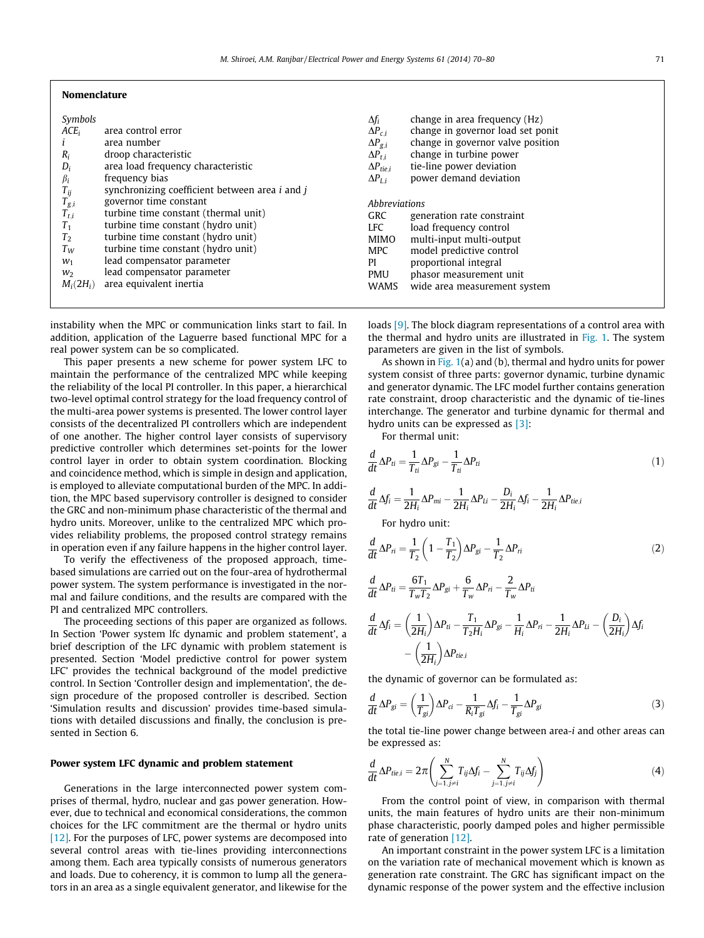#### Nomenclature

| Symbols<br>ACE <sub>i</sub><br>$R_i$<br>$D_i$<br>$\beta_i$                                               | area control error<br>area number<br>droop characteristic<br>area load frequency characteristic<br>frequency bias                                                                                                                                                                                                             | $\Delta f_i$<br>$\Delta P_{c,i}$<br>$\Delta P_{g,i}$<br>$\Delta P_{t,i}$<br>$\Delta P_{tie,i}$<br>$\Delta P_{L,i}$ | change in area frequency (Hz)<br>change in governor load set ponit<br>change in governor valve position<br>change in turbine power<br>tie-line power deviation<br>power demand deviation         |
|----------------------------------------------------------------------------------------------------------|-------------------------------------------------------------------------------------------------------------------------------------------------------------------------------------------------------------------------------------------------------------------------------------------------------------------------------|--------------------------------------------------------------------------------------------------------------------|--------------------------------------------------------------------------------------------------------------------------------------------------------------------------------------------------|
| $T_{ij}$<br>$T_{g,i} \atop T_{t,i}$<br>$T_1$<br>T <sub>2</sub><br>$T_W$<br>$W_1$<br>$W_2$<br>$M_i(2H_i)$ | synchronizing coefficient between area $i$ and $j$<br>governor time constant<br>turbine time constant (thermal unit)<br>turbine time constant (hydro unit)<br>turbine time constant (hydro unit)<br>turbine time constant (hydro unit)<br>lead compensator parameter<br>lead compensator parameter<br>area equivalent inertia | <b>Abbreviations</b><br><b>GRC</b><br><b>LFC</b><br>MIMO<br><b>MPC</b><br>PI<br>PMU<br><b>WAMS</b>                 | generation rate constraint<br>load frequency control<br>multi-input multi-output<br>model predictive control<br>proportional integral<br>phasor measurement unit<br>wide area measurement system |

instability when the MPC or communication links start to fail. In addition, application of the Laguerre based functional MPC for a real power system can be so complicated.

This paper presents a new scheme for power system LFC to maintain the performance of the centralized MPC while keeping the reliability of the local PI controller. In this paper, a hierarchical two-level optimal control strategy for the load frequency control of the multi-area power systems is presented. The lower control layer consists of the decentralized PI controllers which are independent of one another. The higher control layer consists of supervisory predictive controller which determines set-points for the lower control layer in order to obtain system coordination. Blocking and coincidence method, which is simple in design and application, is employed to alleviate computational burden of the MPC. In addition, the MPC based supervisory controller is designed to consider the GRC and non-minimum phase characteristic of the thermal and hydro units. Moreover, unlike to the centralized MPC which provides reliability problems, the proposed control strategy remains in operation even if any failure happens in the higher control layer.

To verify the effectiveness of the proposed approach, timebased simulations are carried out on the four-area of hydrothermal power system. The system performance is investigated in the normal and failure conditions, and the results are compared with the PI and centralized MPC controllers.

The proceeding sections of this paper are organized as follows. In Section 'Power system lfc dynamic and problem statement', a brief description of the LFC dynamic with problem statement is presented. Section 'Model predictive control for power system LFC' provides the technical background of the model predictive control. In Section 'Controller design and implementation', the design procedure of the proposed controller is described. Section 'Simulation results and discussion' provides time-based simulations with detailed discussions and finally, the conclusion is presented in Section 6.

#### Power system LFC dynamic and problem statement

Generations in the large interconnected power system comprises of thermal, hydro, nuclear and gas power generation. However, due to technical and economical considerations, the common choices for the LFC commitment are the thermal or hydro units [\[12\].](#page--1-0) For the purposes of LFC, power systems are decomposed into several control areas with tie-lines providing interconnections among them. Each area typically consists of numerous generators and loads. Due to coherency, it is common to lump all the generators in an area as a single equivalent generator, and likewise for the loads [\[9\]](#page--1-0). The block diagram representations of a control area with system

the thermal and hydro units are illustrated in [Fig. 1.](#page--1-0) The system parameters are given in the list of symbols.

As shown in  $Fig. 1(a)$  $Fig. 1(a)$  and (b), thermal and hydro units for power system consist of three parts: governor dynamic, turbine dynamic and generator dynamic. The LFC model further contains generation rate constraint, droop characteristic and the dynamic of tie-lines interchange. The generator and turbine dynamic for thermal and hydro units can be expressed as [\[3\]](#page--1-0):

For thermal unit:

$$
\frac{d}{dt} \Delta P_{ti} = \frac{1}{T_{ti}} \Delta P_{gi} - \frac{1}{T_{ti}} \Delta P_{ti}
$$
\n
$$
\frac{d}{dt} \Delta f_i = \frac{1}{2H_i} \Delta P_{mi} - \frac{1}{2H_i} \Delta P_{ti} - \frac{D_i}{2H_i} \Delta f_i - \frac{1}{2H_i} \Delta P_{tie,i}
$$
\nFor hydro unit: (1)

$$
\frac{d}{dt}\Delta P_{ri} = \frac{1}{T_2} \left( 1 - \frac{T_1}{T_2} \right) \Delta P_{gi} - \frac{1}{T_2} \Delta P_{ri}
$$
\n(2)

$$
\frac{d}{dt}\Delta P_{ti} = \frac{6T_1}{T_w T_2}\Delta P_{gi} + \frac{6}{T_w}\Delta P_{ri} - \frac{2}{T_w}\Delta P_{ti}
$$
\n
$$
\frac{d}{dt}\Delta f_i = \left(\frac{1}{2H_i}\right)\Delta P_{ti} - \frac{T_1}{T_2H_i}\Delta P_{gi} - \frac{1}{H_i}\Delta P_{ri} - \frac{1}{2H_i}\Delta P_{Li} - \left(\frac{D_i}{2H_i}\right)\Delta f_i
$$
\n
$$
-\left(\frac{1}{2H_i}\right)\Delta P_{tie,i}
$$

the dynamic of governor can be formulated as:

$$
\frac{d}{dt}\Delta P_{gi} = \left(\frac{1}{T_{gi}}\right)\Delta P_{ci} - \frac{1}{R_i T_{gi}}\Delta f_i - \frac{1}{T_{gi}}\Delta P_{gi}
$$
\n(3)

the total tie-line power change between area-i and other areas can be expressed as:

$$
\frac{d}{dt}\Delta P_{tie,i} = 2\pi \left( \sum_{j=1,j\neq i}^{N} T_{ij} \Delta f_i - \sum_{j=1,j\neq i}^{N} T_{ij} \Delta f_j \right) \tag{4}
$$

From the control point of view, in comparison with thermal units, the main features of hydro units are their non-minimum phase characteristic, poorly damped poles and higher permissible rate of generation [\[12\].](#page--1-0)

An important constraint in the power system LFC is a limitation on the variation rate of mechanical movement which is known as generation rate constraint. The GRC has significant impact on the dynamic response of the power system and the effective inclusion